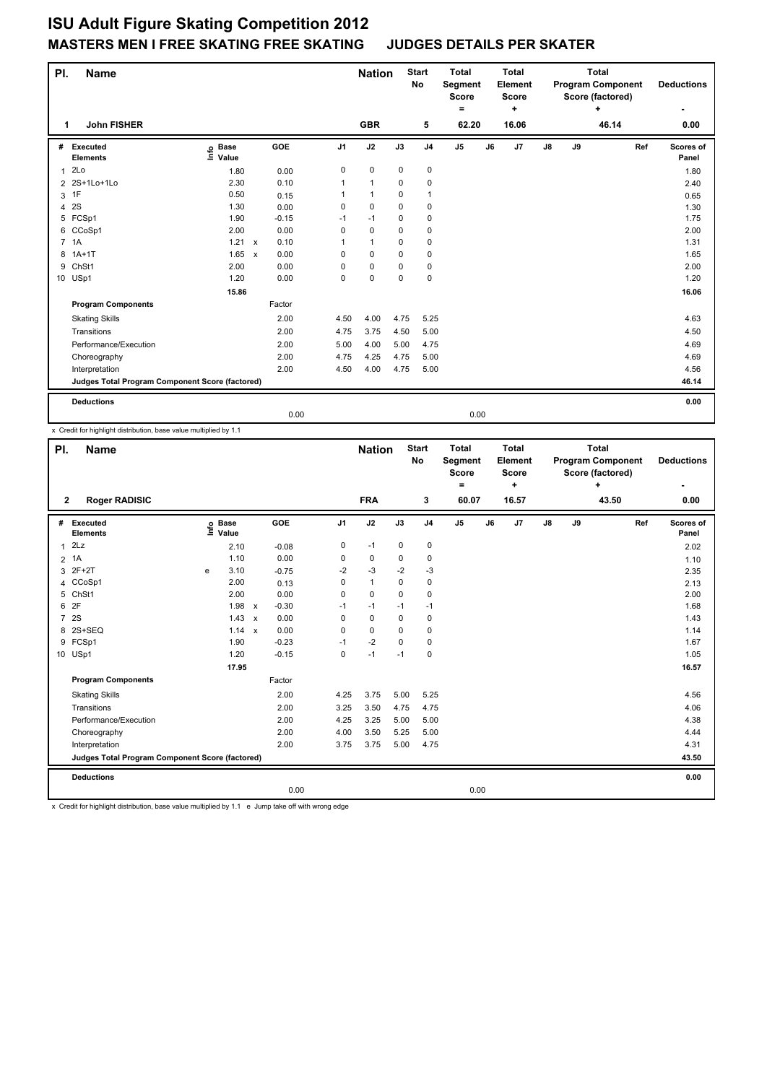## **ISU Adult Figure Skating Competition 2012 MASTERS MEN I FREE SKATING FREE SKATING JUDGES DETAILS PER SKATER**

| PI. | <b>Name</b>                                     |                            |              |            |                | <b>Nation</b> |             | <b>Start</b><br><b>Total</b><br>No<br>Segment<br>Score<br>٠ |                |    | <b>Total</b><br>Element<br><b>Score</b><br>٠ | <b>Program Component</b> |    | <b>Total</b><br>Score (factored)<br>٠ |     | <b>Deductions</b>  |
|-----|-------------------------------------------------|----------------------------|--------------|------------|----------------|---------------|-------------|-------------------------------------------------------------|----------------|----|----------------------------------------------|--------------------------|----|---------------------------------------|-----|--------------------|
| 1   | <b>John FISHER</b>                              |                            |              |            |                | <b>GBR</b>    |             | 5                                                           | 62.20          |    | 16.06                                        |                          |    | 46.14                                 |     | 0.00               |
| #   | <b>Executed</b><br><b>Elements</b>              | e Base<br>E Value<br>Value |              | <b>GOE</b> | J <sub>1</sub> | J2            | J3          | J <sub>4</sub>                                              | J <sub>5</sub> | J6 | J7                                           | $\mathsf{J}8$            | J9 |                                       | Ref | Scores of<br>Panel |
| 1   | 2Lo                                             | 1.80                       |              | 0.00       | 0              | $\pmb{0}$     | $\mathbf 0$ | $\pmb{0}$                                                   |                |    |                                              |                          |    |                                       |     | 1.80               |
|     | 2 2S+1Lo+1Lo                                    | 2.30                       |              | 0.10       |                | $\mathbf{1}$  | 0           | $\pmb{0}$                                                   |                |    |                                              |                          |    |                                       |     | 2.40               |
| 3   | 1F                                              | 0.50                       |              | 0.15       |                | $\mathbf{1}$  | 0           | $\mathbf{1}$                                                |                |    |                                              |                          |    |                                       |     | 0.65               |
| 4   | 2S                                              | 1.30                       |              | 0.00       | 0              | $\mathbf 0$   | 0           | 0                                                           |                |    |                                              |                          |    |                                       |     | 1.30               |
|     | 5 FCSp1                                         | 1.90                       |              | $-0.15$    | $-1$           | $-1$          | 0           | 0                                                           |                |    |                                              |                          |    |                                       |     | 1.75               |
| 6   | CCoSp1                                          | 2.00                       |              | 0.00       | 0              | $\mathbf 0$   | 0           | $\pmb{0}$                                                   |                |    |                                              |                          |    |                                       |     | 2.00               |
|     | 7 1A                                            | 1.21                       | $\mathsf{x}$ | 0.10       | 1              | $\mathbf{1}$  | 0           | 0                                                           |                |    |                                              |                          |    |                                       |     | 1.31               |
| 8   | $1A+1T$                                         | 1.65                       | $\mathsf{x}$ | 0.00       | 0              | $\mathbf 0$   | $\Omega$    | $\pmb{0}$                                                   |                |    |                                              |                          |    |                                       |     | 1.65               |
| 9   | ChSt1                                           | 2.00                       |              | 0.00       | 0              | $\mathbf 0$   | 0           | 0                                                           |                |    |                                              |                          |    |                                       |     | 2.00               |
|     | 10 USp1                                         | 1.20                       |              | 0.00       | 0              | $\mathbf 0$   | $\Omega$    | 0                                                           |                |    |                                              |                          |    |                                       |     | 1.20               |
|     |                                                 | 15.86                      |              |            |                |               |             |                                                             |                |    |                                              |                          |    |                                       |     | 16.06              |
|     | <b>Program Components</b>                       |                            |              | Factor     |                |               |             |                                                             |                |    |                                              |                          |    |                                       |     |                    |
|     | <b>Skating Skills</b>                           |                            |              | 2.00       | 4.50           | 4.00          | 4.75        | 5.25                                                        |                |    |                                              |                          |    |                                       |     | 4.63               |
|     | Transitions                                     |                            |              | 2.00       | 4.75           | 3.75          | 4.50        | 5.00                                                        |                |    |                                              |                          |    |                                       |     | 4.50               |
|     | Performance/Execution                           |                            |              | 2.00       | 5.00           | 4.00          | 5.00        | 4.75                                                        |                |    |                                              |                          |    |                                       |     | 4.69               |
|     | Choreography                                    |                            |              | 2.00       | 4.75           | 4.25          | 4.75        | 5.00                                                        |                |    |                                              |                          |    |                                       |     | 4.69               |
|     | Interpretation                                  |                            |              | 2.00       | 4.50           | 4.00          | 4.75        | 5.00                                                        |                |    |                                              |                          |    |                                       |     | 4.56               |
|     | Judges Total Program Component Score (factored) |                            |              |            |                |               |             |                                                             |                |    |                                              |                          |    |                                       |     | 46.14              |
|     | <b>Deductions</b>                               |                            |              |            |                |               |             |                                                             |                |    |                                              |                          |    |                                       |     | 0.00               |
|     |                                                 |                            |              | 0.00       |                |               |             |                                                             | 0.00           |    |                                              |                          |    |                                       |     |                    |

x Credit for highlight distribution, base value multiplied by 1.1

| PI.            | <b>Name</b>                                     |   |                            |                           |            | <b>Nation</b>  |              | <b>Start</b><br><b>No</b> | <b>Total</b><br>Segment<br><b>Score</b><br>Ξ. |                | <b>Total</b><br>Element<br><b>Score</b><br>٠ |                |               | <b>Total</b><br><b>Program Component</b><br>Score (factored)<br>÷ |       | <b>Deductions</b> |                    |
|----------------|-------------------------------------------------|---|----------------------------|---------------------------|------------|----------------|--------------|---------------------------|-----------------------------------------------|----------------|----------------------------------------------|----------------|---------------|-------------------------------------------------------------------|-------|-------------------|--------------------|
| $\overline{2}$ | <b>Roger RADISIC</b>                            |   |                            |                           |            |                | <b>FRA</b>   |                           | 3                                             | 60.07          |                                              | 16.57          |               |                                                                   | 43.50 |                   | 0.00               |
| #              | Executed<br><b>Elements</b>                     |   | e Base<br>E Value<br>Value |                           | <b>GOE</b> | J <sub>1</sub> | J2           | J3                        | J <sub>4</sub>                                | J <sub>5</sub> | J6                                           | J <sub>7</sub> | $\mathsf{J}8$ | J9                                                                |       | Ref               | Scores of<br>Panel |
| $\mathbf{1}$   | 2Lz                                             |   | 2.10                       |                           | $-0.08$    | 0              | $-1$         | $\mathbf 0$               | $\mathbf 0$                                   |                |                                              |                |               |                                                                   |       |                   | 2.02               |
|                | 2 1A                                            |   | 1.10                       |                           | 0.00       | 0              | 0            | 0                         | 0                                             |                |                                              |                |               |                                                                   |       |                   | 1.10               |
| 3              | $2F+2T$                                         | e | 3.10                       |                           | $-0.75$    | $-2$           | $-3$         | $-2$                      | $-3$                                          |                |                                              |                |               |                                                                   |       |                   | 2.35               |
| 4              | CCoSp1                                          |   | 2.00                       |                           | 0.13       | 0              | $\mathbf{1}$ | 0                         | 0                                             |                |                                              |                |               |                                                                   |       |                   | 2.13               |
| 5              | ChSt1                                           |   | 2.00                       |                           | 0.00       | 0              | $\mathbf 0$  | $\Omega$                  | $\mathbf 0$                                   |                |                                              |                |               |                                                                   |       |                   | 2.00               |
| 6              | 2F                                              |   | 1.98                       | $\boldsymbol{\mathsf{x}}$ | $-0.30$    | $-1$           | $-1$         | $-1$                      | -1                                            |                |                                              |                |               |                                                                   |       |                   | 1.68               |
| $\overline{7}$ | 2S                                              |   | 1.43                       | $\boldsymbol{\mathsf{x}}$ | 0.00       | 0              | $\mathbf 0$  | $\mathbf 0$               | $\mathbf 0$                                   |                |                                              |                |               |                                                                   |       |                   | 1.43               |
| 8              | 2S+SEQ                                          |   | $1.14 \times$              |                           | 0.00       | 0              | $\mathbf 0$  | 0                         | 0                                             |                |                                              |                |               |                                                                   |       |                   | 1.14               |
| 9              | FCSp1                                           |   | 1.90                       |                           | $-0.23$    | $-1$           | $-2$         | $\mathbf 0$               | $\mathbf 0$                                   |                |                                              |                |               |                                                                   |       |                   | 1.67               |
|                | 10 USp1                                         |   | 1.20                       |                           | $-0.15$    | 0              | $-1$         | $-1$                      | 0                                             |                |                                              |                |               |                                                                   |       |                   | 1.05               |
|                |                                                 |   | 17.95                      |                           |            |                |              |                           |                                               |                |                                              |                |               |                                                                   |       |                   | 16.57              |
|                | <b>Program Components</b>                       |   |                            |                           | Factor     |                |              |                           |                                               |                |                                              |                |               |                                                                   |       |                   |                    |
|                | <b>Skating Skills</b>                           |   |                            |                           | 2.00       | 4.25           | 3.75         | 5.00                      | 5.25                                          |                |                                              |                |               |                                                                   |       |                   | 4.56               |
|                | Transitions                                     |   |                            |                           | 2.00       | 3.25           | 3.50         | 4.75                      | 4.75                                          |                |                                              |                |               |                                                                   |       |                   | 4.06               |
|                | Performance/Execution                           |   |                            |                           | 2.00       | 4.25           | 3.25         | 5.00                      | 5.00                                          |                |                                              |                |               |                                                                   |       |                   | 4.38               |
|                | Choreography                                    |   |                            |                           | 2.00       | 4.00           | 3.50         | 5.25                      | 5.00                                          |                |                                              |                |               |                                                                   |       |                   | 4.44               |
|                | Interpretation                                  |   |                            |                           | 2.00       | 3.75           | 3.75         | 5.00                      | 4.75                                          |                |                                              |                |               |                                                                   |       |                   | 4.31               |
|                | Judges Total Program Component Score (factored) |   |                            |                           |            |                |              |                           |                                               |                |                                              |                | 43.50         |                                                                   |       |                   |                    |
|                | <b>Deductions</b>                               |   |                            |                           |            |                |              |                           |                                               |                |                                              |                |               |                                                                   |       |                   | 0.00               |
|                |                                                 |   |                            |                           | 0.00       |                |              |                           |                                               | 0.00           |                                              |                |               |                                                                   |       |                   |                    |

x Credit for highlight distribution, base value multiplied by 1.1 e Jump take off with wrong edge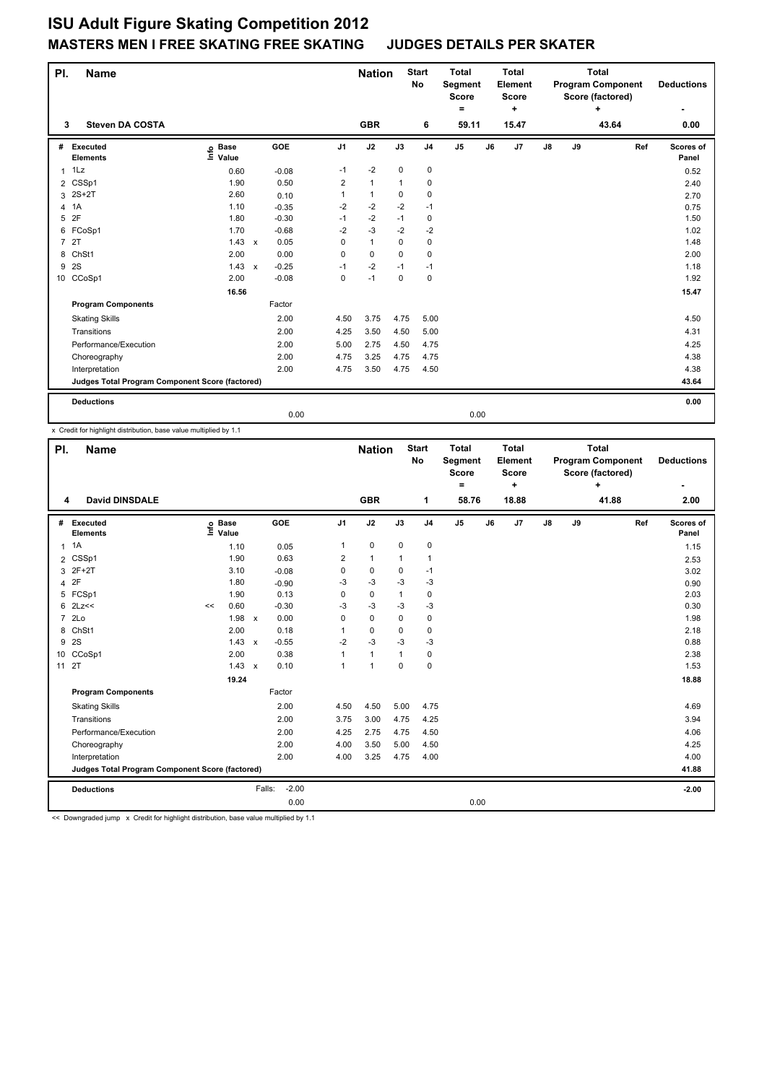## **ISU Adult Figure Skating Competition 2012 MASTERS MEN I FREE SKATING FREE SKATING JUDGES DETAILS PER SKATER**

| PI.            | Name                                            |                            |              |            |                | <b>Nation</b> | <b>Start</b><br>No |                | <b>Total</b><br>Segment<br><b>Score</b><br>۰ |    | <b>Total</b><br>Element<br><b>Score</b><br>÷ | <b>Program Component</b> |    | <b>Total</b><br>Score (factored)<br>+ |     | <b>Deductions</b>  |
|----------------|-------------------------------------------------|----------------------------|--------------|------------|----------------|---------------|--------------------|----------------|----------------------------------------------|----|----------------------------------------------|--------------------------|----|---------------------------------------|-----|--------------------|
| 3              | <b>Steven DA COSTA</b>                          |                            |              |            |                | <b>GBR</b>    |                    | 6              | 59.11                                        |    | 15.47                                        |                          |    | 43.64                                 |     | 0.00               |
| #              | Executed<br><b>Elements</b>                     | e Base<br>E Value<br>Value |              | <b>GOE</b> | J <sub>1</sub> | J2            | J3                 | J <sub>4</sub> | J <sub>5</sub>                               | J6 | J7                                           | $\mathsf{J}8$            | J9 |                                       | Ref | Scores of<br>Panel |
| $\mathbf{1}$   | 1Lz                                             | 0.60                       |              | $-0.08$    | $-1$           | $-2$          | 0                  | 0              |                                              |    |                                              |                          |    |                                       |     | 0.52               |
|                | 2 CSSp1                                         | 1.90                       |              | 0.50       | $\overline{2}$ | $\mathbf{1}$  | $\mathbf{1}$       | 0              |                                              |    |                                              |                          |    |                                       |     | 2.40               |
| 3              | $2S+2T$                                         | 2.60                       |              | 0.10       | 1              | $\mathbf{1}$  | $\Omega$           | 0              |                                              |    |                                              |                          |    |                                       |     | 2.70               |
| 4              | 1A                                              | 1.10                       |              | $-0.35$    | $-2$           | $-2$          | $-2$               | $-1$           |                                              |    |                                              |                          |    |                                       |     | 0.75               |
| 5              | 2F                                              | 1.80                       |              | $-0.30$    | $-1$           | $-2$          | $-1$               | 0              |                                              |    |                                              |                          |    |                                       |     | 1.50               |
|                | 6 FCoSp1                                        | 1.70                       |              | $-0.68$    | $-2$           | $-3$          | $-2$               | $-2$           |                                              |    |                                              |                          |    |                                       |     | 1.02               |
| $\overline{7}$ | 2T                                              | 1.43                       | $\mathsf{x}$ | 0.05       | 0              | $\mathbf{1}$  | $\Omega$           | 0              |                                              |    |                                              |                          |    |                                       |     | 1.48               |
| 8              | ChSt1                                           | 2.00                       |              | 0.00       | 0              | 0             | 0                  | 0              |                                              |    |                                              |                          |    |                                       |     | 2.00               |
| 9              | 2S                                              | 1.43                       | $\mathsf{x}$ | $-0.25$    | $-1$           | $-2$          | $-1$               | $-1$           |                                              |    |                                              |                          |    |                                       |     | 1.18               |
|                | 10 CCoSp1                                       | 2.00                       |              | $-0.08$    | 0              | $-1$          | $\mathbf 0$        | $\mathbf 0$    |                                              |    |                                              |                          |    |                                       |     | 1.92               |
|                |                                                 | 16.56                      |              |            |                |               |                    |                |                                              |    |                                              |                          |    |                                       |     | 15.47              |
|                | <b>Program Components</b>                       |                            |              | Factor     |                |               |                    |                |                                              |    |                                              |                          |    |                                       |     |                    |
|                | <b>Skating Skills</b>                           |                            |              | 2.00       | 4.50           | 3.75          | 4.75               | 5.00           |                                              |    |                                              |                          |    |                                       |     | 4.50               |
|                | Transitions                                     |                            |              | 2.00       | 4.25           | 3.50          | 4.50               | 5.00           |                                              |    |                                              |                          |    |                                       |     | 4.31               |
|                | Performance/Execution                           |                            |              | 2.00       | 5.00           | 2.75          | 4.50               | 4.75           |                                              |    |                                              |                          |    |                                       |     | 4.25               |
|                | Choreography                                    |                            |              | 2.00       | 4.75           | 3.25          | 4.75               | 4.75           |                                              |    |                                              |                          |    |                                       |     | 4.38               |
|                | Interpretation                                  |                            |              | 2.00       | 4.75           | 3.50          | 4.75               | 4.50           |                                              |    |                                              |                          |    |                                       |     | 4.38               |
|                | Judges Total Program Component Score (factored) |                            |              |            |                |               |                    |                |                                              |    |                                              |                          |    |                                       |     | 43.64              |
|                | <b>Deductions</b>                               |                            |              |            |                |               |                    |                |                                              |    |                                              |                          |    |                                       |     | 0.00               |
|                |                                                 |                            |              | 0.00       |                |               |                    |                | 0.00                                         |    |                                              |                          |    |                                       |     |                    |

x Credit for highlight distribution, base value multiplied by 1.1

| PI.            | <b>Name</b>                                     |      |                      |              |         | <b>Nation</b>  |                      | <b>Start</b><br>No | <b>Total</b><br>Segment<br><b>Score</b><br>$=$ |                | <b>Total</b><br>Element<br><b>Score</b><br>÷ | <b>Program Component</b> |    | <b>Total</b><br>Score (factored)<br>+ |       | <b>Deductions</b><br>٠ |                    |
|----------------|-------------------------------------------------|------|----------------------|--------------|---------|----------------|----------------------|--------------------|------------------------------------------------|----------------|----------------------------------------------|--------------------------|----|---------------------------------------|-------|------------------------|--------------------|
| 4              | <b>David DINSDALE</b>                           |      |                      |              |         |                | <b>GBR</b>           |                    | 1                                              | 58.76          |                                              | 18.88                    |    |                                       | 41.88 |                        | 2.00               |
| #              | Executed<br><b>Elements</b>                     | ١nf٥ | <b>Base</b><br>Value |              | GOE     | J <sub>1</sub> | J2                   | J3                 | J <sub>4</sub>                                 | J <sub>5</sub> | J6                                           | J7                       | J8 | J9                                    |       | Ref                    | Scores of<br>Panel |
| $\mathbf{1}$   | 1A                                              |      | 1.10                 |              | 0.05    | -1             | $\mathbf 0$          | $\mathbf 0$        | 0                                              |                |                                              |                          |    |                                       |       |                        | 1.15               |
| $\overline{2}$ | CSSp1                                           |      | 1.90                 |              | 0.63    | 2              | $\mathbf{1}$         | 1                  | 1                                              |                |                                              |                          |    |                                       |       |                        | 2.53               |
| 3              | $2F+2T$                                         |      | 3.10                 |              | $-0.08$ | 0              | 0                    | 0                  | $-1$                                           |                |                                              |                          |    |                                       |       |                        | 3.02               |
| 4              | 2F                                              |      | 1.80                 |              | $-0.90$ | -3             | $-3$                 | $-3$               | $-3$                                           |                |                                              |                          |    |                                       |       |                        | 0.90               |
| 5              | FCSp1                                           |      | 1.90                 |              | 0.13    | 0              | $\mathbf 0$          | 1                  | 0                                              |                |                                              |                          |    |                                       |       |                        | 2.03               |
| 6              | 2Lz<<                                           | <<   | 0.60                 |              | $-0.30$ | -3             | $-3$                 | -3                 | $-3$                                           |                |                                              |                          |    |                                       |       |                        | 0.30               |
| $\overline{7}$ | 2 <sub>LO</sub>                                 |      | 1.98                 | $\mathsf{x}$ | 0.00    | $\Omega$       | $\mathbf 0$          | $\Omega$           | 0                                              |                |                                              |                          |    |                                       |       |                        | 1.98               |
| 8              | ChSt1                                           |      | 2.00                 |              | 0.18    |                | 0                    | 0                  | 0                                              |                |                                              |                          |    |                                       |       |                        | 2.18               |
| 9              | 2S                                              |      | $1.43 \times$        |              | $-0.55$ | $-2$           | $-3$                 | $-3$               | $-3$                                           |                |                                              |                          |    |                                       |       |                        | 0.88               |
| 10             | CCoSp1                                          |      | 2.00                 |              | 0.38    | $\mathbf{1}$   | $\mathbf{1}$         | $\mathbf{1}$       | 0                                              |                |                                              |                          |    |                                       |       |                        | 2.38               |
| 11 2T          |                                                 |      | $1.43 \times$        |              | 0.10    | $\mathbf{1}$   | $\blacktriangleleft$ | $\Omega$           | 0                                              |                |                                              |                          |    |                                       |       |                        | 1.53               |
|                |                                                 |      | 19.24                |              |         |                |                      |                    |                                                |                |                                              |                          |    |                                       |       |                        | 18.88              |
|                | <b>Program Components</b>                       |      |                      |              | Factor  |                |                      |                    |                                                |                |                                              |                          |    |                                       |       |                        |                    |
|                | <b>Skating Skills</b>                           |      |                      |              | 2.00    | 4.50           | 4.50                 | 5.00               | 4.75                                           |                |                                              |                          |    |                                       |       |                        | 4.69               |
|                | Transitions                                     |      |                      |              | 2.00    | 3.75           | 3.00                 | 4.75               | 4.25                                           |                |                                              |                          |    |                                       |       |                        | 3.94               |
|                | Performance/Execution                           |      |                      |              | 2.00    | 4.25           | 2.75                 | 4.75               | 4.50                                           |                |                                              |                          |    |                                       |       |                        | 4.06               |
|                | Choreography                                    |      |                      |              | 2.00    | 4.00           | 3.50                 | 5.00               | 4.50                                           |                |                                              |                          |    |                                       |       |                        | 4.25               |
|                | Interpretation                                  |      |                      |              | 2.00    | 4.00           | 3.25                 | 4.75               | 4.00                                           |                |                                              |                          |    |                                       |       |                        | 4.00               |
|                | Judges Total Program Component Score (factored) |      |                      |              |         |                |                      |                    |                                                |                |                                              |                          |    |                                       |       |                        | 41.88              |
|                | <b>Deductions</b>                               |      |                      | Falls:       | $-2.00$ |                |                      |                    |                                                |                |                                              |                          |    |                                       |       |                        | $-2.00$            |
|                |                                                 |      |                      |              | 0.00    |                |                      |                    |                                                | 0.00           |                                              |                          |    |                                       |       |                        |                    |

<< Downgraded jump x Credit for highlight distribution, base value multiplied by 1.1